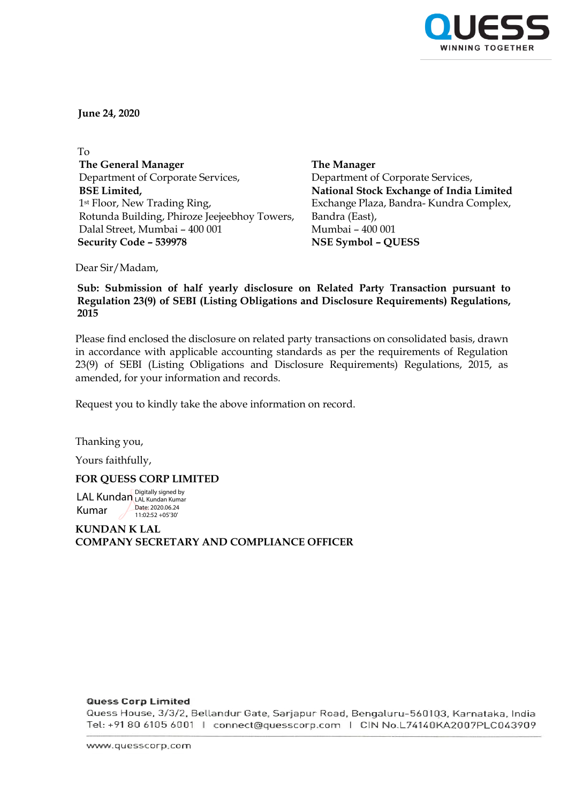

**June 24, 2020**

 To **The General Manager** Department of Corporate Services, **BSE Limited,** 1st Floor, New Trading Ring, Rotunda Building, Phiroze Jeejeebhoy Towers, Dalal Street, Mumbai – 400 001  **Security Code – 539978 NSE Symbol – QUESS**

**The Manager** Department of Corporate Services, **National Stock Exchange of India Limited** Exchange Plaza, Bandra- Kundra Complex, Bandra (East), Mumbai – 400 001

Dear Sir/Madam,

**Sub: Submission of half yearly disclosure on Related Party Transaction pursuant to Regulation 23(9) of SEBI (Listing Obligations and Disclosure Requirements) Regulations, 2015**

Please find enclosed the disclosure on related party transactions on consolidated basis, drawn in accordance with applicable accounting standards as per the requirements of Regulation 23(9) of SEBI (Listing Obligations and Disclosure Requirements) Regulations, 2015, as amended, for your information and records.

Request you to kindly take the above information on record.

Thanking you,

Yours faithfully,

# **FOR QUESS CORP LIMITED**

LAL Kundan LAL Kundan Kumar Kumar Digitally signed by Date: 2020.06.24 11:02:52 +05'30'

**KUNDAN K LAL COMPANY SECRETARY AND COMPLIANCE OFFICER**

## **Quess Corp Limited**

Quess House, 3/3/2, Bellandur Gate, Sarjapur Road, Bengaluru-560103, Karnataka, India Tel: +91 80 6105 6001 | connect@quesscorp.com | CIN No.L74140KA2007PLC043909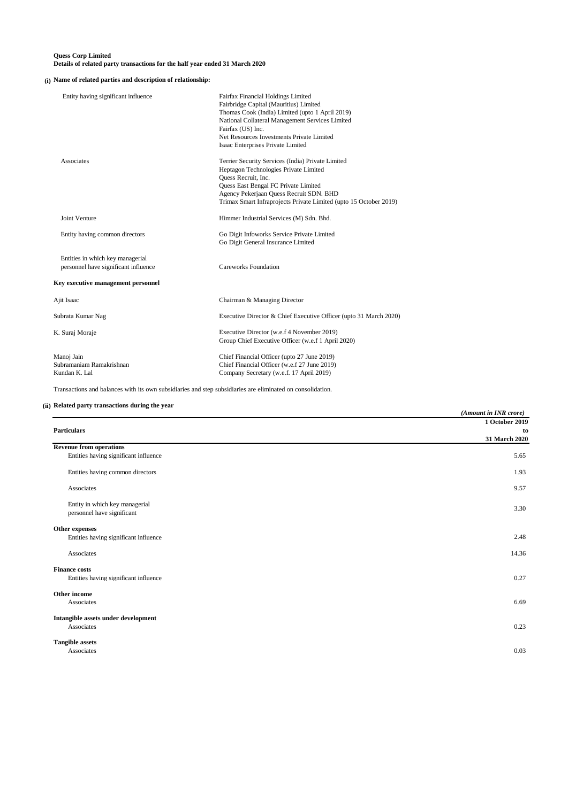#### **Quess Corp Limited Details of related party transactions for the half year ended 31 March 2020**

#### **(i) Name of related parties and description of relationship:**

| Entity having significant influence                                      | Fairfax Financial Holdings Limited<br>Fairbridge Capital (Mauritius) Limited<br>Thomas Cook (India) Limited (upto 1 April 2019)<br>National Collateral Management Services Limited<br>Fairfax (US) Inc.<br>Net Resources Investments Private Limited<br>Isaac Enterprises Private Limited |
|--------------------------------------------------------------------------|-------------------------------------------------------------------------------------------------------------------------------------------------------------------------------------------------------------------------------------------------------------------------------------------|
| Associates                                                               | Terrier Security Services (India) Private Limited<br>Heptagon Technologies Private Limited<br>Quess Recruit, Inc.<br>Quess East Bengal FC Private Limited<br>Agency Pekerjaan Quess Recruit SDN. BHD<br>Trimax Smart Infraprojects Private Limited (upto 15 October 2019)                 |
| Joint Venture                                                            | Himmer Industrial Services (M) Sdn. Bhd.                                                                                                                                                                                                                                                  |
| Entity having common directors                                           | Go Digit Infoworks Service Private Limited<br>Go Digit General Insurance Limited                                                                                                                                                                                                          |
| Entities in which key managerial<br>personnel have significant influence | <b>Careworks Foundation</b>                                                                                                                                                                                                                                                               |
| Key executive management personnel                                       |                                                                                                                                                                                                                                                                                           |
| Ajit Isaac                                                               | Chairman & Managing Director                                                                                                                                                                                                                                                              |
| Subrata Kumar Nag                                                        | Executive Director & Chief Executive Officer (upto 31 March 2020)                                                                                                                                                                                                                         |
| K. Suraj Moraje                                                          | Executive Director (w.e.f 4 November 2019)<br>Group Chief Executive Officer (w.e.f 1 April 2020)                                                                                                                                                                                          |
| Manoj Jain<br>Subramaniam Ramakrishnan<br>Kundan K. Lal                  | Chief Financial Officer (upto 27 June 2019)<br>Chief Financial Officer (w.e.f 27 June 2019)<br>Company Secretary (w.e.f. 17 April 2019)                                                                                                                                                   |

Transactions and balances with its own subsidiaries and step subsidiaries are eliminated on consolidation.

### **(ii) Related party transactions during the year**

|                                                              | (Amount in INR crore) |
|--------------------------------------------------------------|-----------------------|
|                                                              | 1 October 2019        |
| <b>Particulars</b>                                           | to<br>31 March 2020   |
|                                                              |                       |
| <b>Revenue from operations</b>                               |                       |
| Entities having significant influence                        | 5.65                  |
| Entities having common directors                             | 1.93                  |
| Associates                                                   | 9.57                  |
| Entity in which key managerial<br>personnel have significant | 3.30                  |
| Other expenses                                               |                       |
| Entities having significant influence                        | 2.48                  |
| Associates                                                   | 14.36                 |
| <b>Finance costs</b>                                         |                       |
| Entities having significant influence                        | 0.27                  |
| Other income                                                 |                       |
| Associates                                                   | 6.69                  |
| Intangible assets under development                          |                       |
| Associates                                                   | 0.23                  |
| <b>Tangible assets</b>                                       |                       |
| Associates                                                   | 0.03                  |
|                                                              |                       |